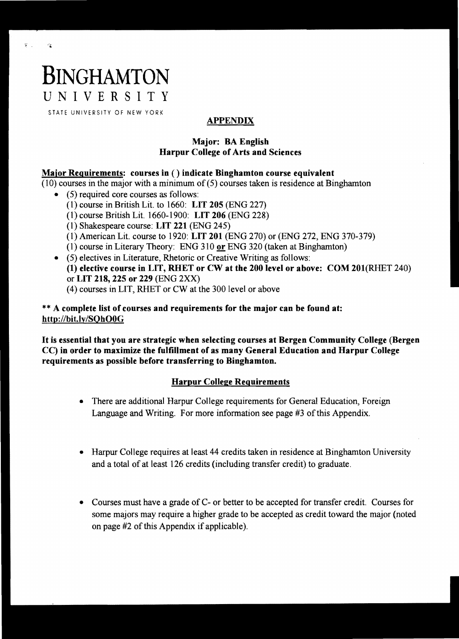# **BINGHAMTON**

 $\mathcal{G}^{\pm}$  .

 $\alpha_{\rm h}$ 

UNIVERSITY

STATE UNIVERSITY OF NEW YORK

# APPENDIX

## Major: BA English Harpur College of Arts and Sciences

## Major Requirements: courses in ( ) indicate Binghamton course equivalent

(10) courses in the major with a minimum of (5) courses taken is residence at Binghamton

- $\bullet$  (5) required core courses as follows:
	- (1) course in British Lit. to 1660: LIT 205 (ENG 227)
	- (1) course British Lit. 1660-1900: LIT 206 (ENG 228)
	- (1) Shakespeare course: LIT 221 (ENG 245)
	- (1) American Lit. course to 1920: LIT 201 (ENG 270) or (ENG 272, ENG 370-379)
	- $(1)$  course in Literary Theory: ENG 310 or ENG 320 (taken at Binghamton)
- $\bullet$  (5) electives in Literature, Rhetoric or Creative Writing as follows: (1) elective course in LIT, RHET or CW at the 200 level or above: COM 201(RHET 240) or LIT 218, 225 or 229 (ENG 2XX) (4) courses in LIT, RHET or CW at the 300 level or above

\* \* A complete list of courses and requirements for the major can be found at: *http://bit.ly/SQhOOG* 

It is essential that you are strategic when selecting courses at Bergen Community College (Bergen CC) in order to maximize the fulfillment of as many General Education and Harpur College requirements as possible before transferring to Binghamton.

# Harpur College Requirements

- There are additional Harpur College requirements for General Education, Foreign Language and Writing. For more information see page #3 of this Appendix.
- Harpur College requires at least 44 credits taken in residence at Binghamton University and a total of at least 126 credits (including transfer credit) to graduate.
- Courses must have a grade of C- or better to be accepted for transfer credit. Courses for some majors may require a higher grade to be accepted as credit toward the major (noted on page #2 of this Appendix if applicable).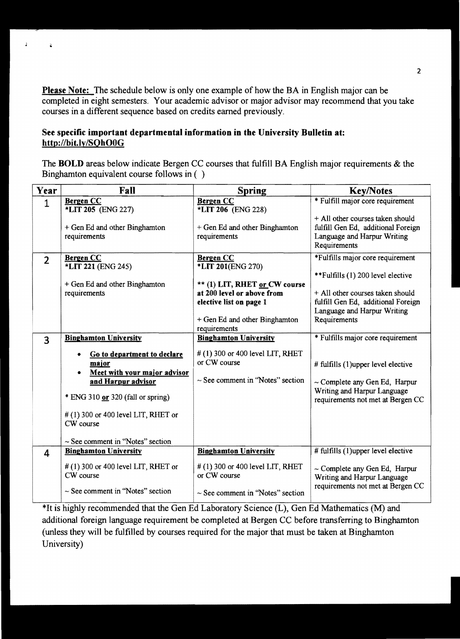Please Note: The schedule below is only one example of how the BA in English major can be completed in eight semesters. Your academic advisor or major advisor may recommend that you take courses in a different sequence based on credits eamed previously.

### See specific important departmental information in the University Bulletin at: http://bit.ly/SQhOOG

 $\hat{A}$ 

 $\ddot{\bullet}$ 

The **BOLD** areas below indicate Bergen CC courses that fulfill BA English major requirements & the Binghamton equivalent course follows in ( )

| Year           | Fall                                                                                                                                                                                                                 | <b>Spring</b>                                                                                                                | <b>Key/Notes</b>                                                                                                                                                                  |
|----------------|----------------------------------------------------------------------------------------------------------------------------------------------------------------------------------------------------------------------|------------------------------------------------------------------------------------------------------------------------------|-----------------------------------------------------------------------------------------------------------------------------------------------------------------------------------|
| $\mathbf{1}$   | <b>Bergen CC</b><br>*LIT 205 (ENG 227)                                                                                                                                                                               | <b>Bergen CC</b><br>*LIT 206 (ENG 228)                                                                                       | * Fulfill major core requirement                                                                                                                                                  |
|                | + Gen Ed and other Binghamton<br>requirements                                                                                                                                                                        | + Gen Ed and other Binghamton<br>requirements                                                                                | + All other courses taken should<br>fulfill Gen Ed, additional Foreign<br>Language and Harpur Writing<br>Requirements                                                             |
| $\overline{2}$ | <b>Bergen CC</b><br><b>*LIT 221 (ENG 245)</b>                                                                                                                                                                        | <b>Bergen CC</b><br>*LIT 201(ENG 270)                                                                                        | *Fulfills major core requirement                                                                                                                                                  |
|                | + Gen Ed and other Binghamton<br>requirements                                                                                                                                                                        | ** (1) LIT, RHET or CW course<br>at 200 level or above from<br>elective list on page 1<br>+ Gen Ed and other Binghamton      | **Fulfills (1) 200 level elective<br>+ All other courses taken should<br>fulfill Gen Ed, additional Foreign<br>Language and Harpur Writing<br>Requirements                        |
|                |                                                                                                                                                                                                                      | requirements                                                                                                                 |                                                                                                                                                                                   |
| 3              | <b>Binghamton University</b><br>Go to department to declare<br>major<br>Meet with your major advisor<br>and Harpur advisor<br>* ENG 310 or 320 (fall or spring)<br>$#(1)$ 300 or 400 level LIT, RHET or<br>CW course | <b>Binghamton University</b><br>$#(1)$ 300 or 400 level LIT, RHET<br>or CW course<br>$\sim$ See comment in "Notes" section   | * Fulfills major core requirement<br># fulfills (1)upper level elective<br>$\sim$ Complete any Gen Ed, Harpur<br>Writing and Harpur Language<br>requirements not met at Bergen CC |
|                | $\sim$ See comment in "Notes" section                                                                                                                                                                                |                                                                                                                              |                                                                                                                                                                                   |
| 4              | <b>Binghamton University</b><br>$#(1)$ 300 or 400 level LIT, RHET or<br>CW course<br>$\sim$ See comment in "Notes" section                                                                                           | <b>Binghamton University</b><br>$\#$ (1) 300 or 400 level LIT, RHET<br>or CW course<br>$\sim$ See comment in "Notes" section | # fulfills (1)upper level elective<br>$\sim$ Complete any Gen Ed, Harpur<br>Writing and Harpur Language<br>requirements not met at Bergen CC                                      |

\*It is highly recommended that the Gen Ed Laboratory Science (L), Gen Ed Mathematics (M) and additional foreign language requirement be completed at Bergen CC before transferring to Binghamton (unless they will be fulfilled by courses required for the major that must be taken at Binghamton University)